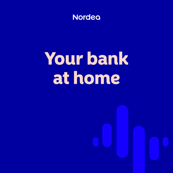

# Your bank at home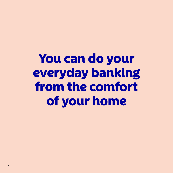You can do your everyday banking from the comfort of your home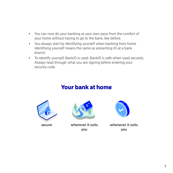- You can now do your banking at your own pace from the comfort of your home without having to go to the bank, like before.
- You always start by identifying yourself when banking from home. Identifying yourself means the same as presenting ID at a bank branch.
- To identify yourself, BankID is used. BankID is safe when used securely. Always read through what you are signing before entering your security code.

### Your bank at home





secure wherever it suits you



whenever it suits you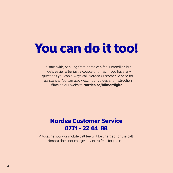# You can do it too!

To start with, banking from home can feel unfamiliar, but it gets easier after just a couple of times. If you have any questions you can always call Nordea Customer Service for assistance. You can also watch our guides and instruction films on our website **[Nordea.se/blimerdigital](https://www.nordea.se/privat/kundservice/anvand-digitala-banktjanster.html)**.

## Nordea Customer Service 0771 - 22 44 88

A local network or mobile call fee will be charged for the call. Nordea does not charge any extra fees for the call.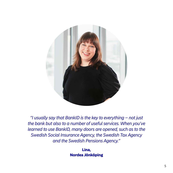

*"I usually say that BankID is the key to everything – not just the bank but also to a number of useful services. When you've learned to use BankID, many doors are opened, such as to the Swedish Social Insurance Agency, the Swedish Tax Agency and the Swedish Pensions Agency."*

> Lina, Nordea Jönköping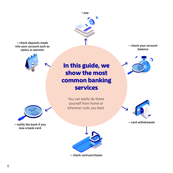**– check deposits made into your account such as salary or pension**





**– notify the bank if you lose a bank card**

## In this guide, we show the most common banking services

**– pay** 

You can easily do these yourself from home or wherever suits you best. **– check your account balance**





**– card withdrawals**



**– check card purchases**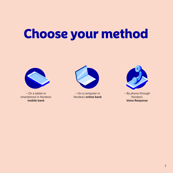# Choose your method



– On a tablet or smartphone in Nordea's **mobile bank**



– On a computer in Nordea's **online bank**



– By phone through Nordea's **Voice Response**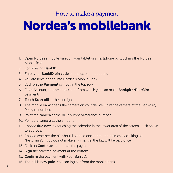### How to make a payment

# Nordea's mobilebank

- 1. Open Nordea's mobile bank on your tablet or smartphone by touching the Nordea Mobile icon.
- 2. Log in using **BankID**.
- 3. Enter your **BankID pin code** on the screen that opens.
- 4. You are now logged into Nordea's Mobile Bank.
- 5. Click on the **Payment** symbol in the top row.
- 6. From Account, choose an account from which you can make **Bankgiro/PlusGiro** payments.
- 7. Touch **Scan bill** at the top right.
- 8. The mobile bank opens the camera on your device. Point the camera at the Bankgiro/ Postgiro number.
- 9. Point the camera at the **OCR** number/reference number.
- 10. Point the camera at the amount.
- 11. Choose **due date** by touching the calendar in the lower area of the screen. Click on OK to approve.
- 12. Choose whether the bill should be paid once or multiple times by clicking on "Recurring". If you do not make any change, the bill will be paid once.
- 13. Click on **Continue** to approve the payment.
- 14. **Sign** the selected payment at the bottom.
- 15. **Confirm** the payment with your BankID.
- 16. The bill is now **paid**. You can log out from the mobile bank.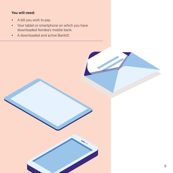#### **You will need:**

- A bill you wish to pay.
- Your tablet or smartphone on which you have downloaded Nordea's mobile bank.
- A downloaded and active BankID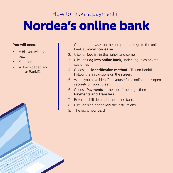# How to make a payment in Nordea's online bank

#### **You will need:**

- A bill you wish to pay.
- Your computer.
- A downloaded and active BankID.
- 1. Open the browser on the computer and go to the online bank at **[www.nordea.se](http://www.nordea.se)**
- 2. Click on **Log in,** in the right-hand corner.
- 3. Click on **Log into online bank**, under Log in as private customer.
- 4. Choose an **identification method**. Click on BankID. Follow the instructions on the screen.
- 5. When you have identified yourself, the online bank opens securely on your screen.
- 6. Choose **Payments** at the top of the page, then **Payments and Transfers**.
- 7. Enter the bill details in the online bank.
- 8. Click on sign and follow the instructions
- 9. The bill is now **paid**.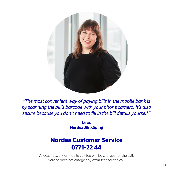

*"The most convenient way of paying bills in the mobile bank is by scanning the bill's barcode with your phone camera. It's also secure because you don't need to fill in the bill details yourself."*

> Lina, Nordea Jönköping

### Nordea Customer Service 0771-22 44

A local network or mobile call fee will be charged for the call. Nordea does not charge any extra fees for the call.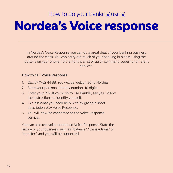# How to do your banking using Nordea's Voice response

In Nordea's Voice Response you can do a great deal of your banking business around the clock. You can carry out much of your banking business using the buttons on your phone. To the right is a list of quick command codes for different services.

#### **How to call Voice Response**

- 1. Call 0771-22 44 88. You will be welcomed to Nordea.
- 2. State your personal identity number. 10 digits.
- 3. Enter your PIN. If you wish to use BankID, say yes. Follow the instructions to identify yourself.
- 4. Explain what you need help with by giving a short description. Say Voice Response.
- 5. You will now be connected to the Voice Response service.

You can also use voice-controlled Voice Response. State the nature of your business, such as "balance", "transactions" or "transfer", and you will be connected.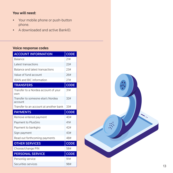#### **You will need:**

- Your mobile phone or push-button phone.
- A downloaded and active BankID.

#### **Voice response codes**

| <b>ACCOUNT INFORMATION</b>                   | <b>CODE</b> |
|----------------------------------------------|-------------|
| Balance                                      | 21#         |
| Latest transactions                          | 22#         |
| Balance and latest transactions              | 23#         |
| Value of fund account                        | 26#         |
| <b>IBAN and BIC information</b>              | 27#         |
| <b>TRANSFERS</b>                             | <b>CODE</b> |
| Transfer to a Nordea account of your<br>own  | 31#         |
| Transfer to someone else's Nordea<br>account | 32#         |
| Transfer to an account at another bank       | 33#         |
|                                              |             |
| <b>PAYMENTS</b>                              | <b>CODE</b> |
| Remove entered payment                       | 40#         |
| Payment to PlusGiro                          | 41#         |
| Payment to bankgiro                          | 42#         |
| Sign payment                                 | 43#         |
| Read out forthcoming payments                | 48#         |
| <b>OTHER SERVICES</b>                        | <b>CODE</b> |
| Choose/change PIN                            | 58#         |
| <b>PERSONAL SERVICE</b>                      | <b>CODE</b> |
| Personlig service                            | 91#         |

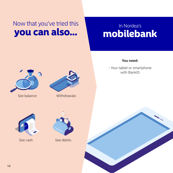## Now that you've tried this you can also...

## In Nordea's mobilebank





See balance Withdrawals

#### **You need:**

- Your tablet or smartphone with BankID





See cash See debits

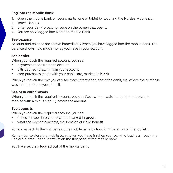#### **Log into the Mobile Bank:**

- 1. Open the mobile bank on your smartphone or tablet by touching the Nordea Mobile icon.
- 2. Touch BankID.
- 3. Enter your BankID security code on the screen that opens.
- 4. You are now logged into Nordea's Mobile Bank.

#### **See balance**

Account and balance are shown immediately when you have logged into the mobile bank. The balance shows how much money you have in your account.

#### **See debits**

When you touch the required account, you see:

- payments made from the account
- bills debited (drawn) from your account
- card purchases made with your bank card, marked in **black**

When you touch the row you can see more information about the debit, e.g. where the purchase was made or the payee of a bill.

#### **See cash withdrawals**

When you touch the required account, you see: Cash withdrawals made from the account marked with a minus sign (-) before the amount.

#### **See deposits**

When you touch the required account, you see:

- deposits made into your account, marked in **green**
- what the deposit concerns, e.g. Pension or Child benefit

You come back to the first page of the mobile bank by touching the arrow at the top left.

Remember to close the mobile bank when you have finished your banking business. Touch the Log out button under Shortcuts on the first page of the mobile bank.

You have securely **logged out** of the mobile bank.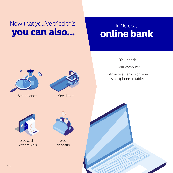# Now that you've tried this, you can also...

## In Nordeas online bank



See balance See debits

#### **You need:**

- Your computer

- An active BankID on your smartphone or tablet



See cash withdrawals



See deposits

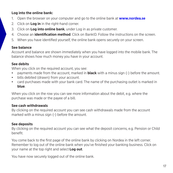#### **Log into the online bank:**

- 1. Open the browser on your computer and go to the online bank at **[www.nordea.se](http://www.nordea.se)**
- 2. Click on **Log in** in the right-hand corner.
- 3. Click on **Log into online bank**, under Log in as private customer.
- 4. Choose an **identification method**. Click on BankID. Follow the instructions on the screen.
- 5. When you have identified yourself, the online bank opens securely on your screen.

#### **See balance**

Account and balance are shown immediately when you have logged into the mobile bank. The balance shows how much money you have in your account.

#### **See debits**

When you click on the required account, you see:

- payments made from the account, marked in **black** with a minus sign (-) before the amount.
- bills debited (drawn) from your account.
- card purchases made with your bank card. The name of the purchasing outlet is marked in **blue**.

When you click on the row you can see more information about the debit, e.g. where the purchase was made or the payee of a bill.

#### **See cash withdrawals**

By clicking on the required account you can see cash withdrawals made from the account marked with a minus sign (-) before the amount.

#### **See deposits**

By clicking on the required account you can see what the deposit concerns, e.g. Pension or Child benefit.

You come back to the first page of the online bank by clicking on Nordea in the left corner. Remember to log out of the online bank when you've finished your banking business. Click on your name at the top right and select **Log out**.

You have now securely logged out of the online bank.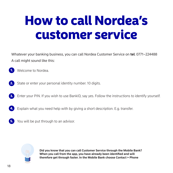# How to call Nordea's customer service

Whatever your banking business, you can call Nordea Customer Service on **tel**. 0771–224488 A call might sound like this:

Welcome to Nordea. 1.

- State or enter your personal identity number. 10 digits. 2.
- Enter your PIN. If you wish to use BankID, say yes. Follow the instructions to identify yourself. 3.
- Explain what you need help with by giving a short description. E.g. transfer. 4.
- You will be put through to an advisor. 5.



**Did you know that you can call Customer Service through the Mobile Bank? When you call from the app, you have already been identified and will therefore get through faster. In the Mobile Bank choose Contact > Phone**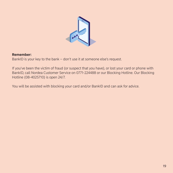

#### **Remember:**

BankID is your key to the bank – don't use it at someone else's request.

If you've been the victim of fraud (or suspect that you have), or lost your card or phone with BankID, call Nordea Customer Service on 0771-224488 or our Blocking Hotline. Our Blocking Hotline (08-4025710) is open 24/7.

You will be assisted with blocking your card and/or BankID and can ask for advice.